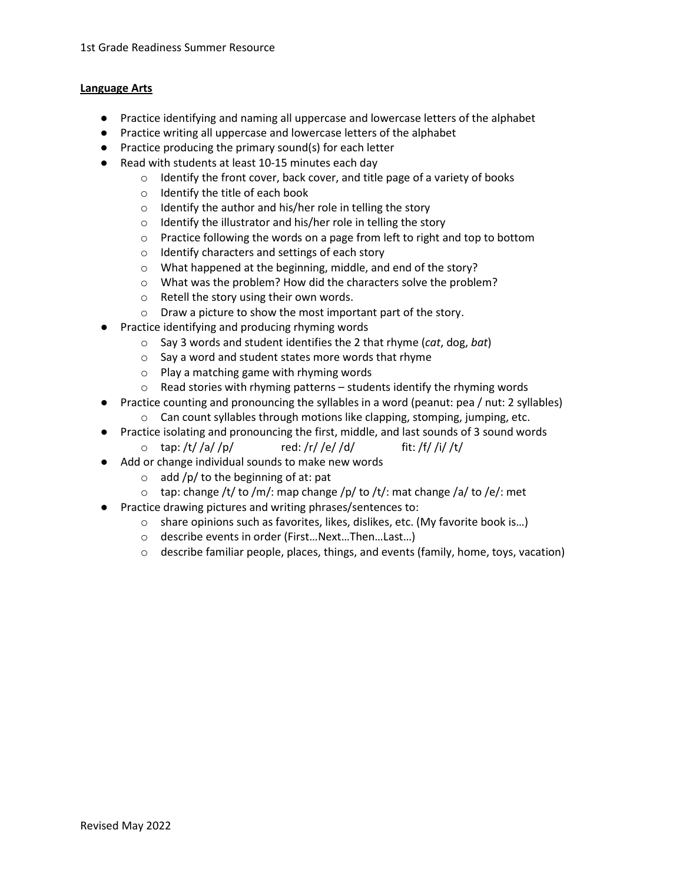## **Language Arts**

- Practice identifying and naming all uppercase and lowercase letters of the alphabet
- Practice writing all uppercase and lowercase letters of the alphabet
- Practice producing the primary sound(s) for each letter
- Read with students at least 10-15 minutes each day
	- o Identify the front cover, back cover, and title page of a variety of books
	- o Identify the title of each book
	- o Identify the author and his/her role in telling the story
	- o Identify the illustrator and his/her role in telling the story
	- $\circ$  Practice following the words on a page from left to right and top to bottom
	- o Identify characters and settings of each story
	- o What happened at the beginning, middle, and end of the story?
	- o What was the problem? How did the characters solve the problem?
	- o Retell the story using their own words.
	- o Draw a picture to show the most important part of the story.
- Practice identifying and producing rhyming words
	- o Say 3 words and student identifies the 2 that rhyme (*cat*, dog, *bat*)
	- o Say a word and student states more words that rhyme
	- o Play a matching game with rhyming words
	- $\circ$  Read stories with rhyming patterns students identify the rhyming words
- Practice counting and pronouncing the syllables in a word (peanut: pea / nut: 2 syllables)
	- o Can count syllables through motions like clapping, stomping, jumping, etc.
- Practice isolating and pronouncing the first, middle, and last sounds of 3 sound words
	- $\circ$  tap: /t/ /a/ /p/ red: /r/ /e/ /d/ fit: /f/ /i/ /t/
- Add or change individual sounds to make new words
	- $\circ$  add /p/ to the beginning of at: pat
	- $\circ$  tap: change /t/ to /m/: map change /p/ to /t/: mat change /a/ to /e/: met
- Practice drawing pictures and writing phrases/sentences to:
	- $\circ$  share opinions such as favorites, likes, dislikes, etc. (My favorite book is...)
	- o describe events in order (First…Next…Then…Last…)
	- $\circ$  describe familiar people, places, things, and events (family, home, toys, vacation)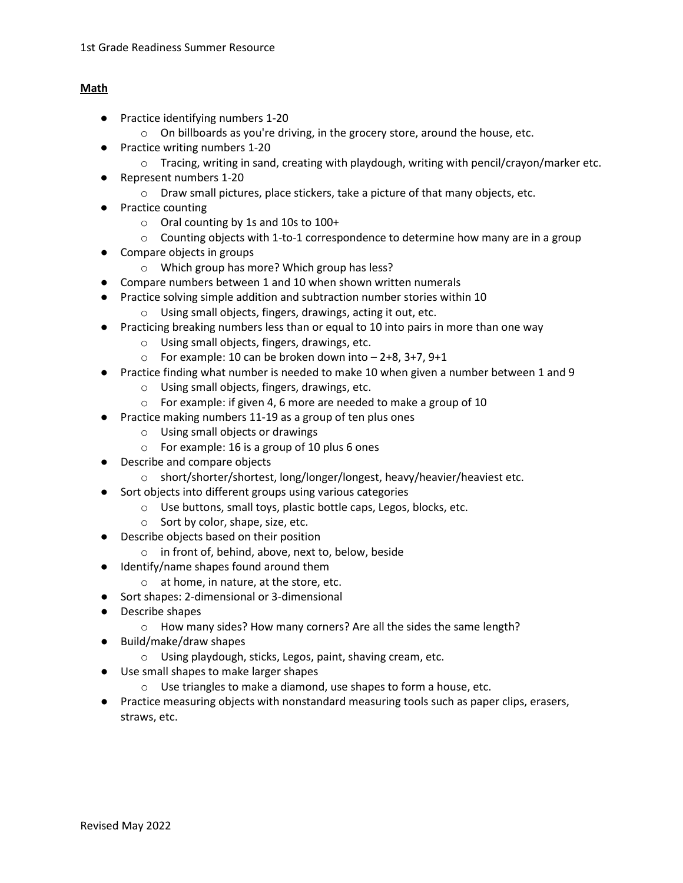## **Math**

- Practice identifying numbers 1-20
	- o On billboards as you're driving, in the grocery store, around the house, etc.
- Practice writing numbers 1-20
	- $\circ$  Tracing, writing in sand, creating with playdough, writing with pencil/crayon/marker etc.
- Represent numbers 1-20
	- $\circ$  Draw small pictures, place stickers, take a picture of that many objects, etc.
- Practice counting
	- o Oral counting by 1s and 10s to 100+
	- $\circ$  Counting objects with 1-to-1 correspondence to determine how many are in a group
- Compare objects in groups
	- o Which group has more? Which group has less?
- Compare numbers between 1 and 10 when shown written numerals
- Practice solving simple addition and subtraction number stories within 10
	- o Using small objects, fingers, drawings, acting it out, etc.
- Practicing breaking numbers less than or equal to 10 into pairs in more than one way
	- o Using small objects, fingers, drawings, etc.
	- $\circ$  For example: 10 can be broken down into  $-$  2+8, 3+7, 9+1
- Practice finding what number is needed to make 10 when given a number between 1 and 9
	- o Using small objects, fingers, drawings, etc.
	- o For example: if given 4, 6 more are needed to make a group of 10
- Practice making numbers 11-19 as a group of ten plus ones
	- o Using small objects or drawings
	- o For example: 16 is a group of 10 plus 6 ones
- Describe and compare objects
	- o short/shorter/shortest, long/longer/longest, heavy/heavier/heaviest etc.
- Sort objects into different groups using various categories
	- o Use buttons, small toys, plastic bottle caps, Legos, blocks, etc.
	- o Sort by color, shape, size, etc.
- Describe objects based on their position
	- o in front of, behind, above, next to, below, beside
- Identify/name shapes found around them
	- o at home, in nature, at the store, etc.
- Sort shapes: 2-dimensional or 3-dimensional
- Describe shapes
	- o How many sides? How many corners? Are all the sides the same length?
- Build/make/draw shapes
	- o Using playdough, sticks, Legos, paint, shaving cream, etc.
- Use small shapes to make larger shapes
	- o Use triangles to make a diamond, use shapes to form a house, etc.
- Practice measuring objects with nonstandard measuring tools such as paper clips, erasers, straws, etc.